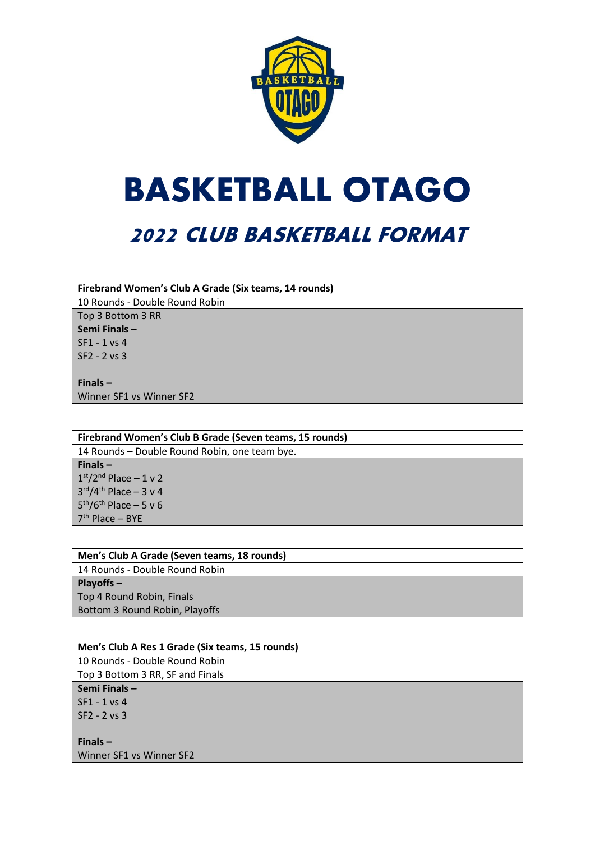

# **BASKETBALL OTAGO**

## **2022 CLUB BASKETBALL FORMAT**

**Firebrand Women's Club A Grade (Six teams, 14 rounds)**

10 Rounds - Double Round Robin Top 3 Bottom 3 RR **Semi Finals –** SF1 - 1 vs 4 SF2 - 2 vs 3

**Finals –** Winner SF1 vs Winner SF2

**Firebrand Women's Club B Grade (Seven teams, 15 rounds)** 14 Rounds – Double Round Robin, one team bye. **Finals –**  $1<sup>st</sup>/2<sup>nd</sup>$  Place  $-1$  v 2 3 rd/4th Place – 3 v 4 5<sup>th</sup>/6<sup>th</sup> Place – 5 v 6 7 th Place – BYE

| Men's Club A Grade (Seven teams, 18 rounds) |
|---------------------------------------------|
| 14 Rounds - Double Round Robin              |
| $Playoffs -$                                |
| Top 4 Round Robin, Finals                   |
| Bottom 3 Round Robin, Playoffs              |

| Men's Club A Res 1 Grade (Six teams, 15 rounds) |
|-------------------------------------------------|
| 10 Rounds - Double Round Robin                  |
| Top 3 Bottom 3 RR, SF and Finals                |
| Semi Finals-                                    |
| SF1 - 1 vs 4                                    |
| $SF2 - 2 vs 3$                                  |
|                                                 |
| Finals $-$                                      |
| Winner SF1 vs Winner SF2                        |